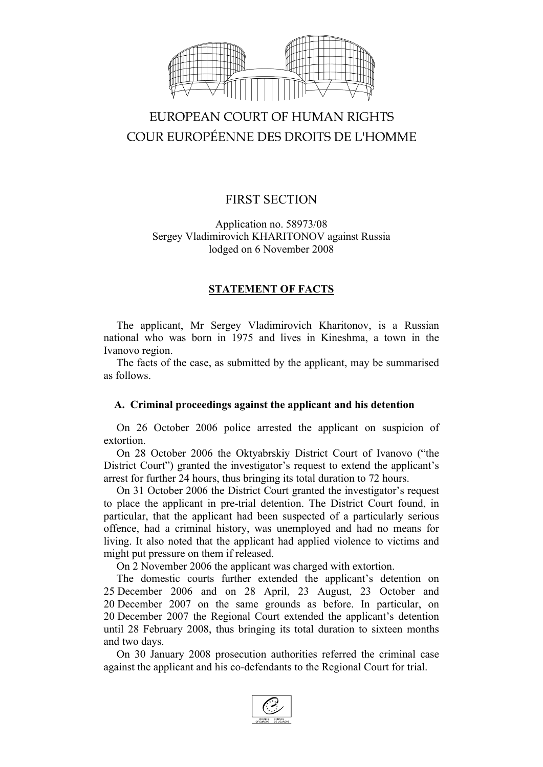

# EUROPEAN COURT OF HUMAN RIGHTS COUR EUROPÉENNE DES DROITS DE L'HOMME

## FIRST SECTION

Application no. 58973/08 Sergey Vladimirovich KHARITONOV against Russia lodged on 6 November 2008

## **STATEMENT OF FACTS**

The applicant, Mr Sergey Vladimirovich Kharitonov, is a Russian national who was born in 1975 and lives in Kineshma, a town in the Ivanovo region.

The facts of the case, as submitted by the applicant, may be summarised as follows.

## **A. Criminal proceedings against the applicant and his detention**

On 26 October 2006 police arrested the applicant on suspicion of extortion.

On 28 October 2006 the Oktyabrskiy District Court of Ivanovo ("the District Court") granted the investigator's request to extend the applicant's arrest for further 24 hours, thus bringing its total duration to 72 hours.

On 31 October 2006 the District Court granted the investigator's request to place the applicant in pre-trial detention. The District Court found, in particular, that the applicant had been suspected of a particularly serious offence, had a criminal history, was unemployed and had no means for living. It also noted that the applicant had applied violence to victims and might put pressure on them if released.

On 2 November 2006 the applicant was charged with extortion.

The domestic courts further extended the applicant's detention on 25 December 2006 and on 28 April, 23 August, 23 October and 20 December 2007 on the same grounds as before. In particular, on 20 December 2007 the Regional Court extended the applicant's detention until 28 February 2008, thus bringing its total duration to sixteen months and two days.

On 30 January 2008 prosecution authorities referred the criminal case against the applicant and his co-defendants to the Regional Court for trial.

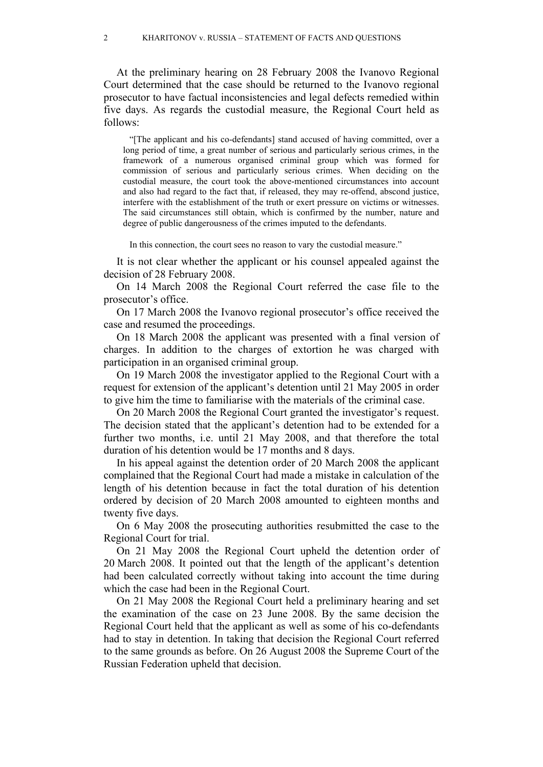At the preliminary hearing on 28 February 2008 the Ivanovo Regional Court determined that the case should be returned to the Ivanovo regional prosecutor to have factual inconsistencies and legal defects remedied within five days. As regards the custodial measure, the Regional Court held as follows:

"[The applicant and his co-defendants] stand accused of having committed, over a long period of time, a great number of serious and particularly serious crimes, in the framework of a numerous organised criminal group which was formed for commission of serious and particularly serious crimes. When deciding on the custodial measure, the court took the above-mentioned circumstances into account and also had regard to the fact that, if released, they may re-offend, abscond justice, interfere with the establishment of the truth or exert pressure on victims or witnesses. The said circumstances still obtain, which is confirmed by the number, nature and degree of public dangerousness of the crimes imputed to the defendants.

In this connection, the court sees no reason to vary the custodial measure."

It is not clear whether the applicant or his counsel appealed against the decision of 28 February 2008.

On 14 March 2008 the Regional Court referred the case file to the prosecutor's office.

On 17 March 2008 the Ivanovo regional prosecutor's office received the case and resumed the proceedings.

On 18 March 2008 the applicant was presented with a final version of charges. In addition to the charges of extortion he was charged with participation in an organised criminal group.

On 19 March 2008 the investigator applied to the Regional Court with a request for extension of the applicant's detention until 21 May 2005 in order to give him the time to familiarise with the materials of the criminal case.

On 20 March 2008 the Regional Court granted the investigator's request. The decision stated that the applicant's detention had to be extended for a further two months, i.e. until 21 May 2008, and that therefore the total duration of his detention would be 17 months and 8 days.

In his appeal against the detention order of 20 March 2008 the applicant complained that the Regional Court had made a mistake in calculation of the length of his detention because in fact the total duration of his detention ordered by decision of 20 March 2008 amounted to eighteen months and twenty five days.

On 6 May 2008 the prosecuting authorities resubmitted the case to the Regional Court for trial.

On 21 May 2008 the Regional Court upheld the detention order of 20 March 2008. It pointed out that the length of the applicant's detention had been calculated correctly without taking into account the time during which the case had been in the Regional Court.

On 21 May 2008 the Regional Court held a preliminary hearing and set the examination of the case on 23 June 2008. By the same decision the Regional Court held that the applicant as well as some of his co-defendants had to stay in detention. In taking that decision the Regional Court referred to the same grounds as before. On 26 August 2008 the Supreme Court of the Russian Federation upheld that decision.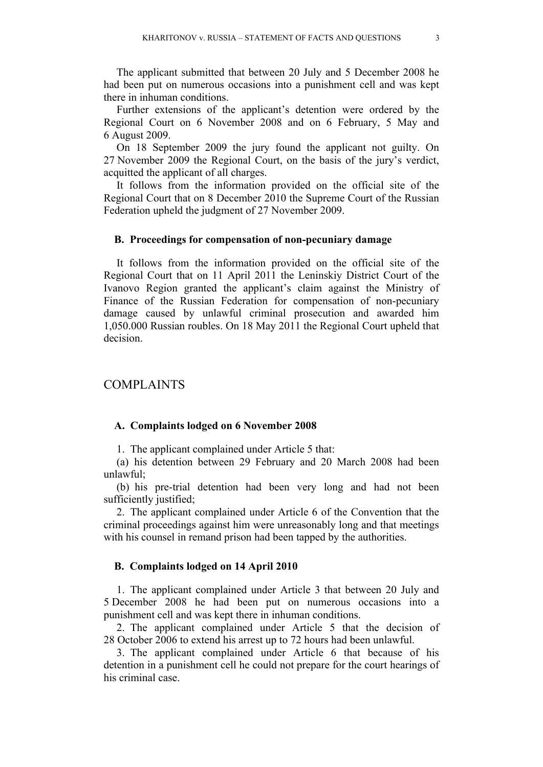The applicant submitted that between 20 July and 5 December 2008 he had been put on numerous occasions into a punishment cell and was kept there in inhuman conditions.

Further extensions of the applicant's detention were ordered by the Regional Court on 6 November 2008 and on 6 February, 5 May and 6 August 2009.

On 18 September 2009 the jury found the applicant not guilty. On 27 November 2009 the Regional Court, on the basis of the jury's verdict, acquitted the applicant of all charges.

It follows from the information provided on the official site of the Regional Court that on 8 December 2010 the Supreme Court of the Russian Federation upheld the judgment of 27 November 2009.

#### **B. Proceedings for compensation of non-pecuniary damage**

It follows from the information provided on the official site of the Regional Court that on 11 April 2011 the Leninskiy District Court of the Ivanovo Region granted the applicant's claim against the Ministry of Finance of the Russian Federation for compensation of non-pecuniary damage caused by unlawful criminal prosecution and awarded him 1,050.000 Russian roubles. On 18 May 2011 the Regional Court upheld that decision.

## COMPLAINTS

#### **A. Complaints lodged on 6 November 2008**

1. The applicant complained under Article 5 that:

(a) his detention between 29 February and 20 March 2008 had been unlawful;

(b) his pre-trial detention had been very long and had not been sufficiently justified;

2. The applicant complained under Article 6 of the Convention that the criminal proceedings against him were unreasonably long and that meetings with his counsel in remand prison had been tapped by the authorities.

#### **B. Complaints lodged on 14 April 2010**

1. The applicant complained under Article 3 that between 20 July and 5 December 2008 he had been put on numerous occasions into a punishment cell and was kept there in inhuman conditions.

2. The applicant complained under Article 5 that the decision of 28 October 2006 to extend his arrest up to 72 hours had been unlawful.

3. The applicant complained under Article 6 that because of his detention in a punishment cell he could not prepare for the court hearings of his criminal case.